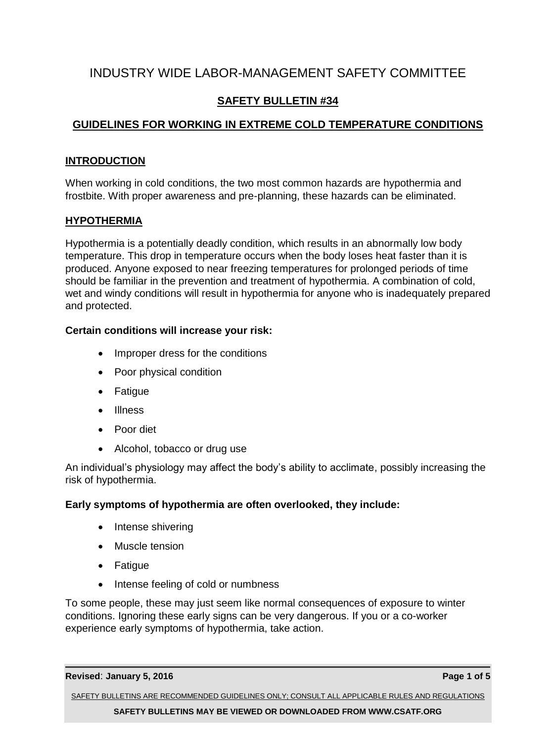# INDUSTRY WIDE LABOR-MANAGEMENT SAFETY COMMITTEE

# **SAFETY BULLETIN #34**

# **GUIDELINES FOR WORKING IN EXTREME COLD TEMPERATURE CONDITIONS**

# **INTRODUCTION**

When working in cold conditions, the two most common hazards are hypothermia and frostbite. With proper awareness and pre-planning, these hazards can be eliminated.

# **HYPOTHERMIA**

Hypothermia is a potentially deadly condition, which results in an abnormally low body temperature. This drop in temperature occurs when the body loses heat faster than it is produced. Anyone exposed to near freezing temperatures for prolonged periods of time should be familiar in the prevention and treatment of hypothermia. A combination of cold, wet and windy conditions will result in hypothermia for anyone who is inadequately prepared and protected.

# **Certain conditions will increase your risk:**

- Improper dress for the conditions
- Poor physical condition
- Fatigue
- Illness
- Poor diet
- Alcohol, tobacco or drug use

An individual's physiology may affect the body's ability to acclimate, possibly increasing the risk of hypothermia.

# **Early symptoms of hypothermia are often overlooked, they include:**

- Intense shivering
- Muscle tension
- Fatigue
- Intense feeling of cold or numbness

To some people, these may just seem like normal consequences of exposure to winter conditions. Ignoring these early signs can be very dangerous. If you or a co-worker experience early symptoms of hypothermia, take action.

### **Revised**: **January 5, 2016 Page 1 of 5**

SAFETY BULLETINS ARE RECOMMENDED GUIDELINES ONLY; CONSULT ALL APPLICABLE RULES AND REGULATIONS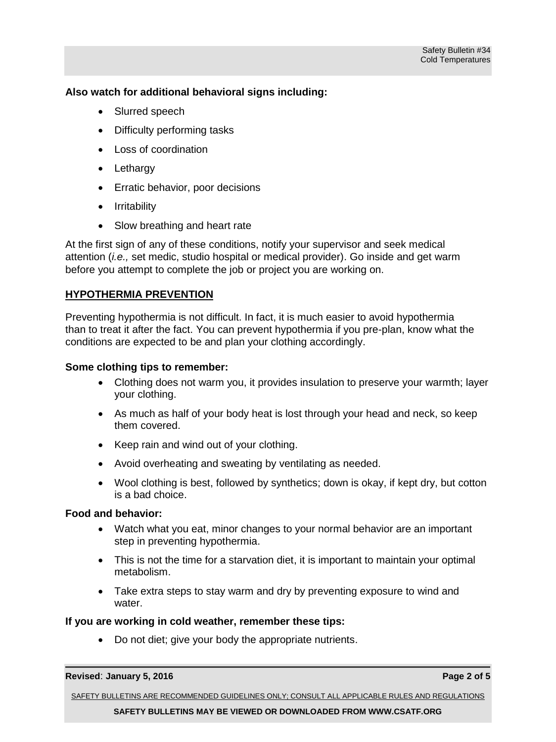## **Also watch for additional behavioral signs including:**

- Slurred speech
- Difficulty performing tasks
- Loss of coordination
- Lethargy
- **Erratic behavior, poor decisions**
- Irritability
- Slow breathing and heart rate

At the first sign of any of these conditions, notify your supervisor and seek medical attention (*i.e.,* set medic, studio hospital or medical provider). Go inside and get warm before you attempt to complete the job or project you are working on.

# **HYPOTHERMIA PREVENTION**

Preventing hypothermia is not difficult. In fact, it is much easier to avoid hypothermia than to treat it after the fact. You can prevent hypothermia if you pre-plan, know what the conditions are expected to be and plan your clothing accordingly.

### **Some clothing tips to remember:**

- Clothing does not warm you, it provides insulation to preserve your warmth; layer your clothing.
- As much as half of your body heat is lost through your head and neck, so keep them covered.
- Keep rain and wind out of your clothing.
- Avoid overheating and sweating by ventilating as needed.
- Wool clothing is best, followed by synthetics; down is okay, if kept dry, but cotton is a bad choice.

### **Food and behavior:**

- Watch what you eat, minor changes to your normal behavior are an important step in preventing hypothermia.
- This is not the time for a starvation diet, it is important to maintain your optimal metabolism.
- Take extra steps to stay warm and dry by preventing exposure to wind and water.

### **If you are working in cold weather, remember these tips:**

Do not diet; give your body the appropriate nutrients.

#### **Revised**: **January 5, 2016 Page 2 of 5**

SAFETY BULLETINS ARE RECOMMENDED GUIDELINES ONLY; CONSULT ALL APPLICABLE RULES AND REGULATIONS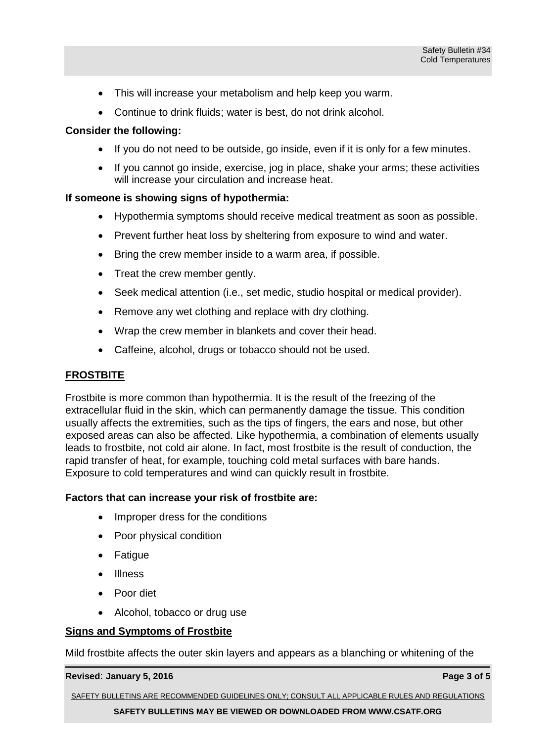- This will increase your metabolism and help keep you warm.
- Continue to drink fluids; water is best, do not drink alcohol.

### **Consider the following:**

- If you do not need to be outside, go inside, even if it is only for a few minutes.
- If you cannot go inside, exercise, jog in place, shake your arms; these activities will increase your circulation and increase heat.

### **If someone is showing signs of hypothermia:**

- Hypothermia symptoms should receive medical treatment as soon as possible.
- Prevent further heat loss by sheltering from exposure to wind and water.
- Bring the crew member inside to a warm area, if possible.
- Treat the crew member gently.
- Seek medical attention (i.e., set medic, studio hospital or medical provider).
- Remove any wet clothing and replace with dry clothing.
- Wrap the crew member in blankets and cover their head.
- Caffeine, alcohol, drugs or tobacco should not be used.

# **FROSTBITE**

Frostbite is more common than hypothermia. It is the result of the freezing of the extracellular fluid in the skin, which can permanently damage the tissue. This condition usually affects the extremities, such as the tips of fingers, the ears and nose, but other exposed areas can also be affected. Like hypothermia, a combination of elements usually leads to frostbite, not cold air alone. In fact, most frostbite is the result of conduction, the rapid transfer of heat, for example, touching cold metal surfaces with bare hands. Exposure to cold temperatures and wind can quickly result in frostbite.

### **Factors that can increase your risk of frostbite are:**

- Improper dress for the conditions
- Poor physical condition
- Fatigue
- Illness
- Poor diet
- Alcohol, tobacco or drug use

### **Signs and Symptoms of Frostbite**

Mild frostbite affects the outer skin layers and appears as a blanching or whitening of the

#### **Revised**: **January 5, 2016 Page 3 of 5**

SAFETY BULLETINS ARE RECOMMENDED GUIDELINES ONLY; CONSULT ALL APPLICABLE RULES AND REGULATIONS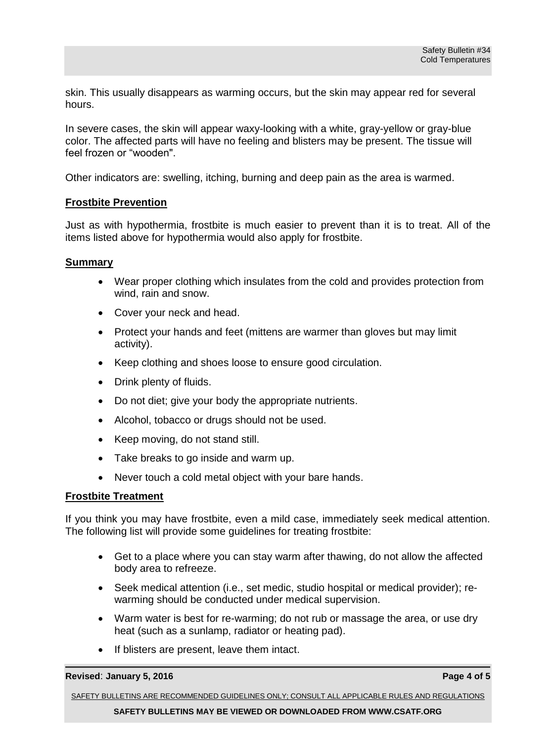skin. This usually disappears as warming occurs, but the skin may appear red for several hours.

In severe cases, the skin will appear waxy-looking with a white, gray-yellow or gray-blue color. The affected parts will have no feeling and blisters may be present. The tissue will feel frozen or "wooden".

Other indicators are: swelling, itching, burning and deep pain as the area is warmed.

#### **Frostbite Prevention**

Just as with hypothermia, frostbite is much easier to prevent than it is to treat. All of the items listed above for hypothermia would also apply for frostbite.

#### **Summary**

- Wear proper clothing which insulates from the cold and provides protection from wind, rain and snow.
- Cover your neck and head.
- Protect your hands and feet (mittens are warmer than gloves but may limit activity).
- Keep clothing and shoes loose to ensure good circulation.
- Drink plenty of fluids.
- Do not diet; give your body the appropriate nutrients.
- Alcohol, tobacco or drugs should not be used.
- Keep moving, do not stand still.
- Take breaks to go inside and warm up.
- Never touch a cold metal object with your bare hands.

### **Frostbite Treatment**

If you think you may have frostbite, even a mild case, immediately seek medical attention. The following list will provide some guidelines for treating frostbite:

- Get to a place where you can stay warm after thawing, do not allow the affected body area to refreeze.
- Seek medical attention (i.e., set medic, studio hospital or medical provider); rewarming should be conducted under medical supervision.
- Warm water is best for re-warming; do not rub or massage the area, or use dry heat (such as a sunlamp, radiator or heating pad).
- If blisters are present, leave them intact.

#### **Revised**: **January 5, 2016 Page 4 of 5**

SAFETY BULLETINS ARE RECOMMENDED GUIDELINES ONLY; CONSULT ALL APPLICABLE RULES AND REGULATIONS